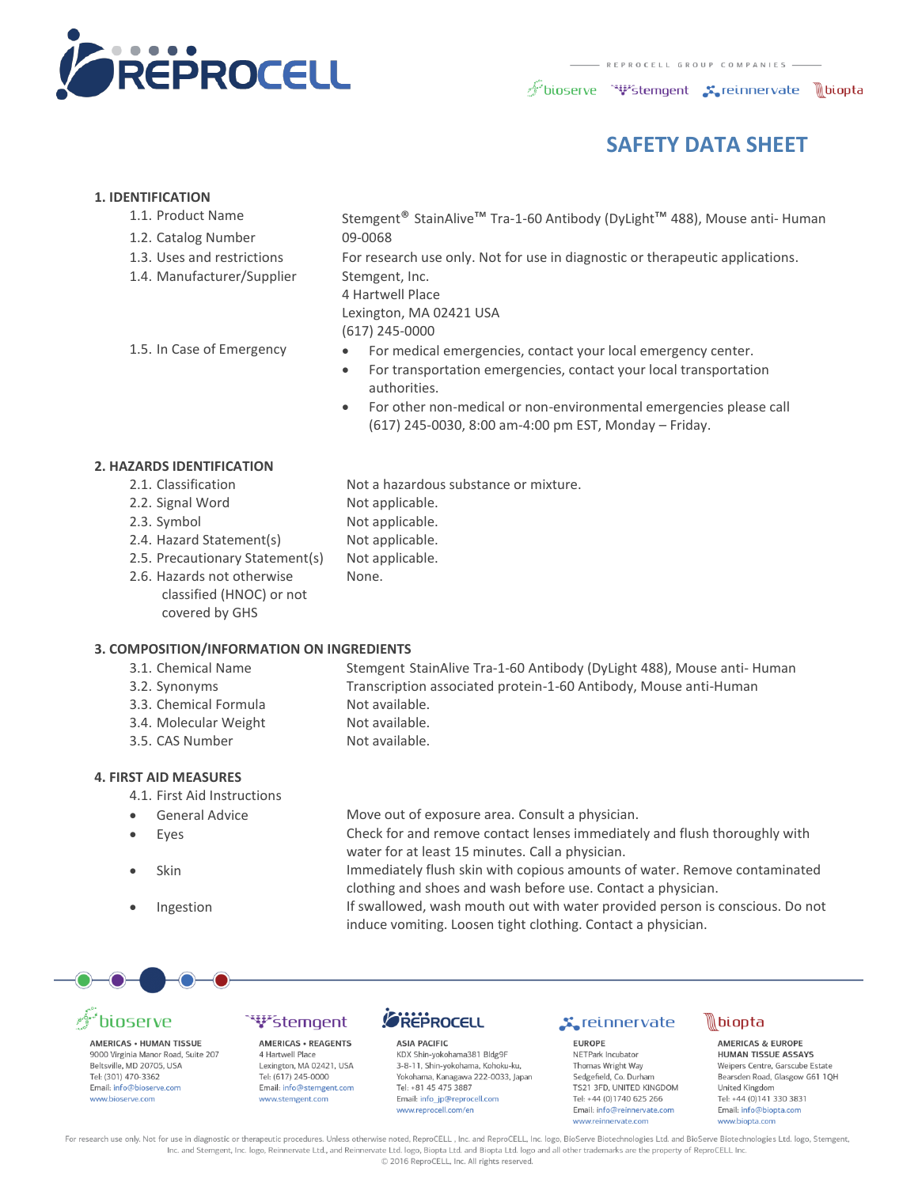

bioserve "\"stemgent sereinnervate \biopta

### **SAFETY DATA SHEET**

#### **1. IDENTIFICATION**

- 
- 1.2. Catalog Number 09-0068
- 
- 1.4. Manufacturer/Supplier Stemgent, Inc.

1.1. Product Name Stemgent® StainAlive<sup>™</sup> Tra-1-60 Antibody (DyLight<sup>™</sup> 488), Mouse anti- Human

1.3. Uses and restrictions For research use only. Not for use in diagnostic or therapeutic applications.

4 Hartwell Place Lexington, MA 02421 USA

(617) 245-0000

- 
- 1.5. In Case of Emergency For medical emergencies, contact your local emergency center.
	- For transportation emergencies, contact your local transportation authorities.
	- For other non-medical or non-environmental emergencies please call (617) 245-0030, 8:00 am-4:00 pm EST, Monday – Friday.

#### **2. HAZARDS IDENTIFICATION**

- 2.1. Classification Not a hazardous substance or mixture.
- 2.2. Signal Word Not applicable.
- 2.3. Symbol Not applicable.
- 2.4. Hazard Statement(s) Not applicable.
- 2.5. Precautionary Statement(s) Not applicable.
- 2.6. Hazards not otherwise classified (HNOC) or not covered by GHS

#### **3. COMPOSITION/INFORMATION ON INGREDIENTS**

- 
- 
- 3.3. Chemical Formula Not available.
- 3.4. Molecular Weight Not available.
- 3.5. CAS Number Not available.

#### **4. FIRST AID MEASURES**

- 4.1. First Aid Instructions
- 
- 
- 
- 

- 3.1. Chemical Name Stemgent StainAlive Tra-1-60 Antibody (DyLight 488), Mouse anti- Human 3.2. Synonyms Transcription associated protein-1-60 Antibody, Mouse anti-Human
	-

None.

- -

#### General Advice Move out of exposure area. Consult a physician.

 Eyes Check for and remove contact lenses immediately and flush thoroughly with water for at least 15 minutes. Call a physician.

 Skin Immediately flush skin with copious amounts of water. Remove contaminated clothing and shoes and wash before use. Contact a physician.

Ingestion If swallowed, wash mouth out with water provided person is conscious. Do not induce vomiting. Loosen tight clothing. Contact a physician.

## ioserve

AMERICAS . HUMAN TISSUE 9000 Virginia Manor Road, Suite 207 Beltsville, MD 20705, USA Tel: (301) 470-3362 Email: info@bioserve.com www.bioserve.com

#### **W**stemgent **AMERICAS . REAGENTS**

4 Hartwell Place Lexington, MA 02421, USA Tel: (617) 245-0000 Email: info@stemgent.com www.stemgent.com



**ASIA PACIFIC** KDX Shin-yokohama381 Bldg9F 3-8-11, Shin-yokohama, Kohoku-ku, Yokohama, Kanagawa 222-0033, Japan Tel: +81 45 475 3887 Email: info jp@reprocell.com www.reprocell.com/en

#### **x** reinnervate

**EUROPE** NETPark Incubator Thomas Wright Way Sedgefield, Co. Durham TS21 3FD, UNITED KINGDOM Tel: +44 (0)1740 625 266 Email: info@reinnervate.com www.reinnervate.com



**AMERICAS & EUROPE** HUMAN TISSUE ASSAYS Weipers Centre, Garscube Estate Bearsden Road, Glasgow G61 1QH United Kingdom Tel: +44 (0)141 330 3831 Email: info@bionta.com www.biopta.com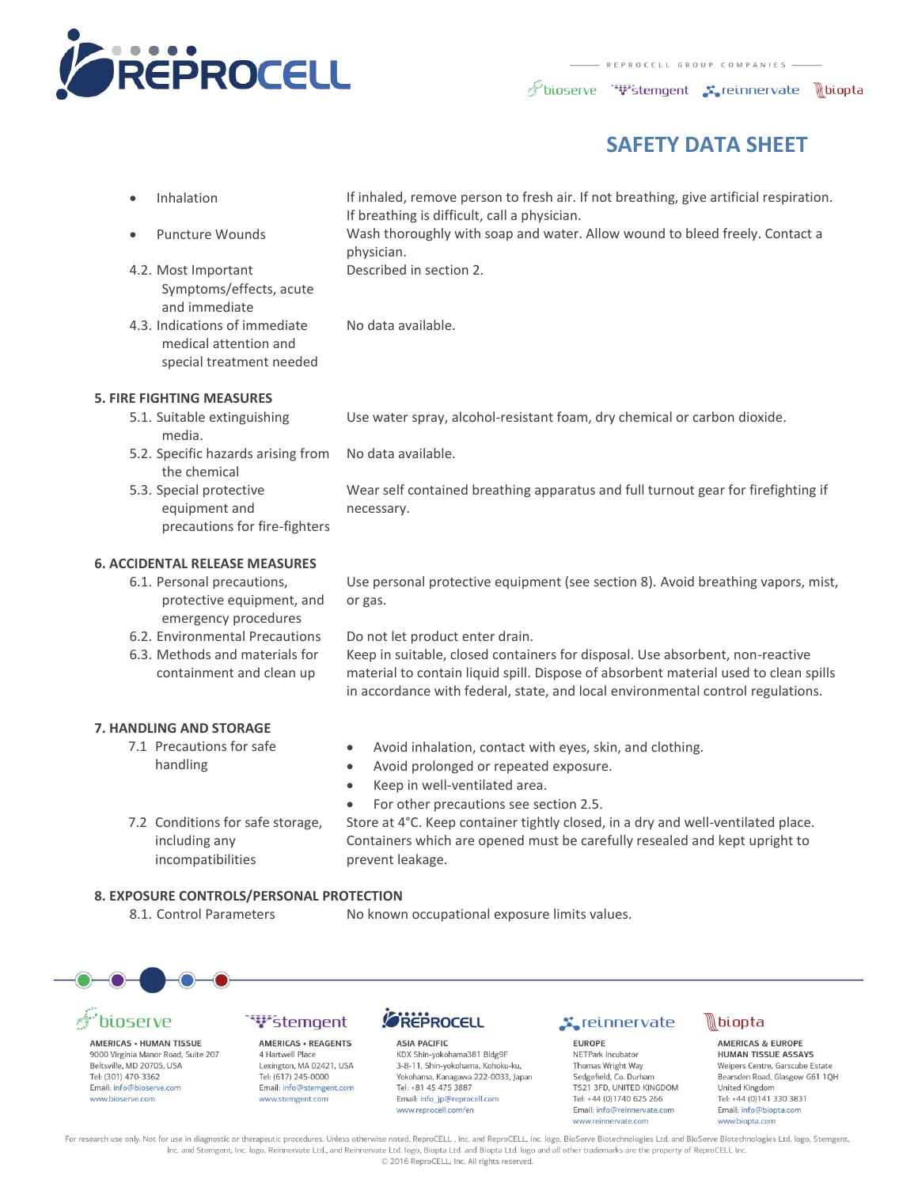

bioserve "\"stemgent sereinnervate \biopta

### **SAFETY DATA SHEET**

- 4.2. Most Important Symptoms/effects, acute and immediate
- 4.3. Indications of immediate medical attention and special treatment needed

Inhalation If inhaled, remove person to fresh air. If not breathing, give artificial respiration. If breathing is difficult, call a physician.

 Puncture Wounds Wash thoroughly with soap and water. Allow wound to bleed freely. Contact a physician.

Described in section 2.

- No data available.
- **5. FIRE FIGHTING MEASURES**
	- 5.1. Suitable extinguishing media.

Use water spray, alcohol-resistant foam, dry chemical or carbon dioxide.

- 5.2. Specific hazards arising from the chemical No data available.
- 5.3. Special protective equipment and precautions for fire-fighters

Wear self contained breathing apparatus and full turnout gear for firefighting if necessary.

#### **6. ACCIDENTAL RELEASE MEASURES**

6.1. Personal precautions, protective equipment, and emergency procedures

Use personal protective equipment (see section 8). Avoid breathing vapors, mist, or gas.

6.3. Methods and materials for containment and clean up

#### 6.2. Environmental Precautions Do not let product enter drain.

Keep in suitable, closed containers for disposal. Use absorbent, non-reactive material to contain liquid spill. Dispose of absorbent material used to clean spills in accordance with federal, state, and local environmental control regulations.

#### **7. HANDLING AND STORAGE**

- 7.1 Precautions for safe handling
- Avoid inhalation, contact with eyes, skin, and clothing.
- Avoid prolonged or repeated exposure.
- Keep in well-ventilated area.
- 7.2 Conditions for safe storage,
- For other precautions see section 2.5. Store at 4°C. Keep container tightly closed, in a dry and well-ventilated place. Containers which are opened must be carefully resealed and kept upright to prevent leakage.

#### **8. EXPOSURE CONTROLS/PERSONAL PROTECTION**

including any incompatibilities

8.1. Control Parameters No known occupational exposure limits values.





**AMERICAS . HUMAN TISSUE** 9000 Virginia Manor Road, Suite 207 Beltsville, MD 20705, USA Tel: (301) 470-3362 Email: info@bioserve.com www.bioserve.com

#### ``\}\*stemgent **AMERICAS · REAGENTS**

4 Hartwell Place Lexington, MA 02421, USA Tel: (617) 245-0000 Email: info@stemgent.com www.stemgent.com



**ASIA PACIFIC** KDX Shin-yokohama381 Bldg9F 3-8-11, Shin-yokohama, Kohoku-ku, Yokohama, Kanagawa 222-0033, Japan Tel: +81 45 475 3887 Email: info jp@reprocell.com www.reprocell.com/en

#### **x** reinnervate

**EUROPE** NETPark Incubator Thomas Wright Way Sedgefield, Co. Durham TS21 3FD, UNITED KINGDOM Tel: +44 (0)1740 625 266 Email: info@reinnervate.com www.reinnervate.com



**AMERICAS & EUROPE HUMAN TISSUE ASSAYS** Weipers Centre, Garscube Estate Bearsden Road, Glasgow G61 1QH United Kingdom Tel: +44 (0)141 330 3831 Email: info@bionta.com www.biopta.com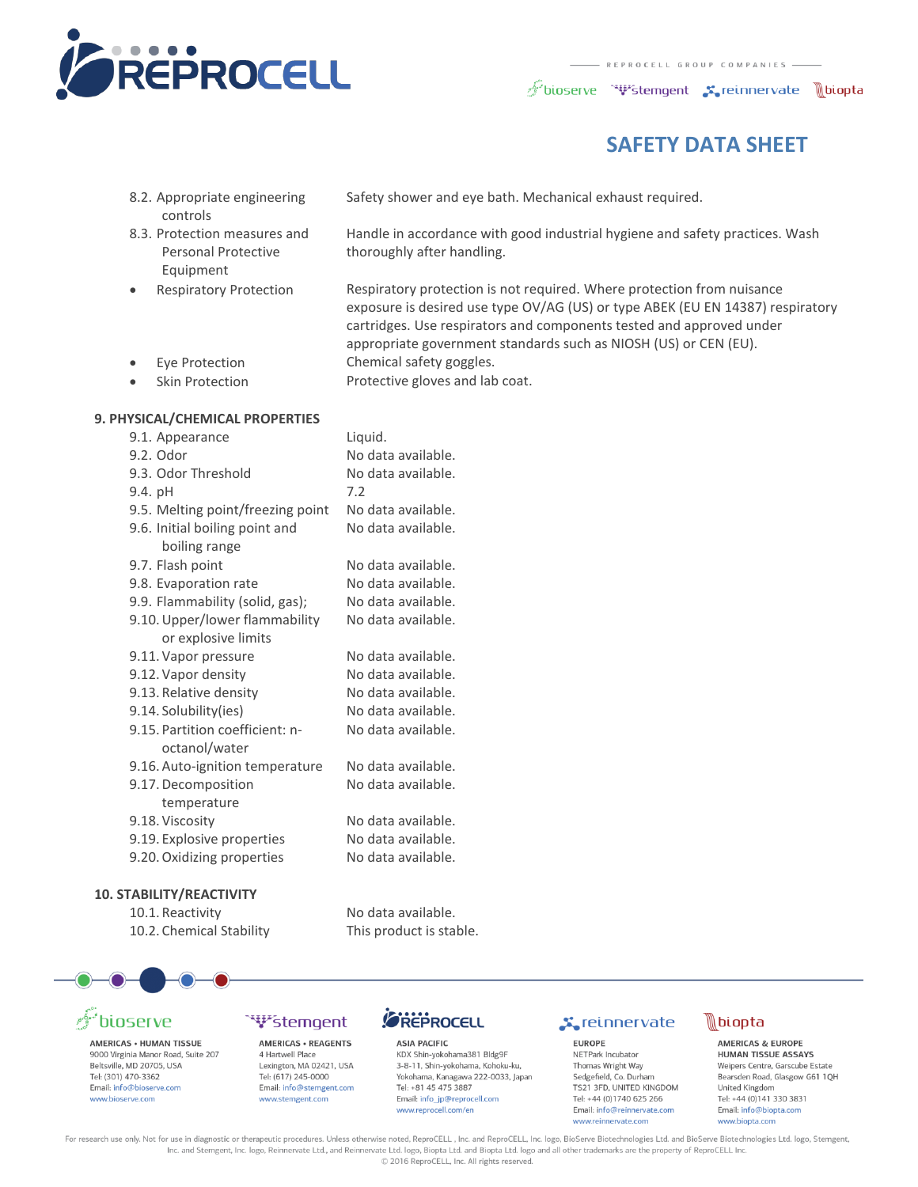

 $\mathscr{F}$ bioserve " $\mathbf{\Psi}$ stemgent  $\mathbf{x}_\bullet$ reinnervate  $\mathbb{R}$ biopta

### **SAFETY DATA SHEET**

- 8.2. Appropriate engineering controls
- 8.3. Protection measures and Personal Protective Equipment
- 

Safety shower and eye bath. Mechanical exhaust required.

Handle in accordance with good industrial hygiene and safety practices. Wash thoroughly after handling.

 Respiratory Protection Respiratory protection is not required. Where protection from nuisance exposure is desired use type OV/AG (US) or type ABEK (EU EN 14387) respiratory cartridges. Use respirators and components tested and approved under appropriate government standards such as NIOSH (US) or CEN (EU). Eye Protection Chemical safety goggles.

- 
- Skin Protection Protective gloves and lab coat.

#### **9. PHYSICAL/CHEMICAL PROPERTIES**

| 9.1. Appearance                   | Liquid.            |
|-----------------------------------|--------------------|
| 9.2. Odor                         | No data available. |
| 9.3. Odor Threshold               | No data available. |
| $9.4.$ pH                         | 7.2                |
| 9.5. Melting point/freezing point | No data available. |
| 9.6. Initial boiling point and    | No data available. |
| boiling range                     |                    |
| 9.7. Flash point                  | No data available. |
| 9.8. Evaporation rate             | No data available. |
| 9.9. Flammability (solid, gas);   | No data available. |
| 9.10. Upper/lower flammability    | No data available. |
| or explosive limits               |                    |
| 9.11. Vapor pressure              | No data available. |
| 9.12. Vapor density               | No data available. |
| 9.13. Relative density            | No data available. |
| 9.14. Solubility (ies)            | No data available. |
| 9.15. Partition coefficient: n-   | No data available. |
| octanol/water                     |                    |
| 9.16. Auto-ignition temperature   | No data available. |
| 9.17. Decomposition               | No data available. |
| temperature                       |                    |
| 9.18. Viscosity                   | No data available. |
| 9.19. Explosive properties        | No data available. |
| 9.20. Oxidizing properties        | No data available. |
|                                   |                    |

#### **10. STABILITY/REACTIVITY**

10.1. Reactivity No data available. 10.2. Chemical Stability This product is stable.



# pioserve

AMERICAS . HUMAN TISSUE 9000 Virginia Manor Road, Suite 207 Beltsville, MD 20705, USA Tel: (301) 470-3362 Email: info@bioserve.com www.bioserve.com

#### **W**stemgent AMERICAS . REAGENTS

4 Hartwell Place Lexington, MA 02421, USA Tel: (617) 245-0000 Email: info@stemgent.com www.stemgent.com

### *CREPROCELL*

**ASIA PACIFIC** KDX Shin-yokohama381 Bldg9F 3-8-11, Shin-yokohama, Kohoku-ku, Yokohama, Kanagawa 222-0033, Japan Tel: +81 45 475 3887 Email: info ip@reprocell.com www.reprocell.com/en

### **X**reinnervate

**EUROPE** NETPark Incubator Thomas Wright Way Sedgefield, Co. Durham TS21 3FD, UNITED KINGDOM Tel: +44 (0)1740 625 266 Email: info@reinnervate.com www.reinnervate.com



**AMERICAS & EUROPE** HUMAN TISSUE ASSAYS Weipers Centre, Garscube Estate Bearsden Road, Glasgow G61 1QH United Kingdom Tel: +44 (0)141 330 3831 Email: info@bionta.com www.biopta.com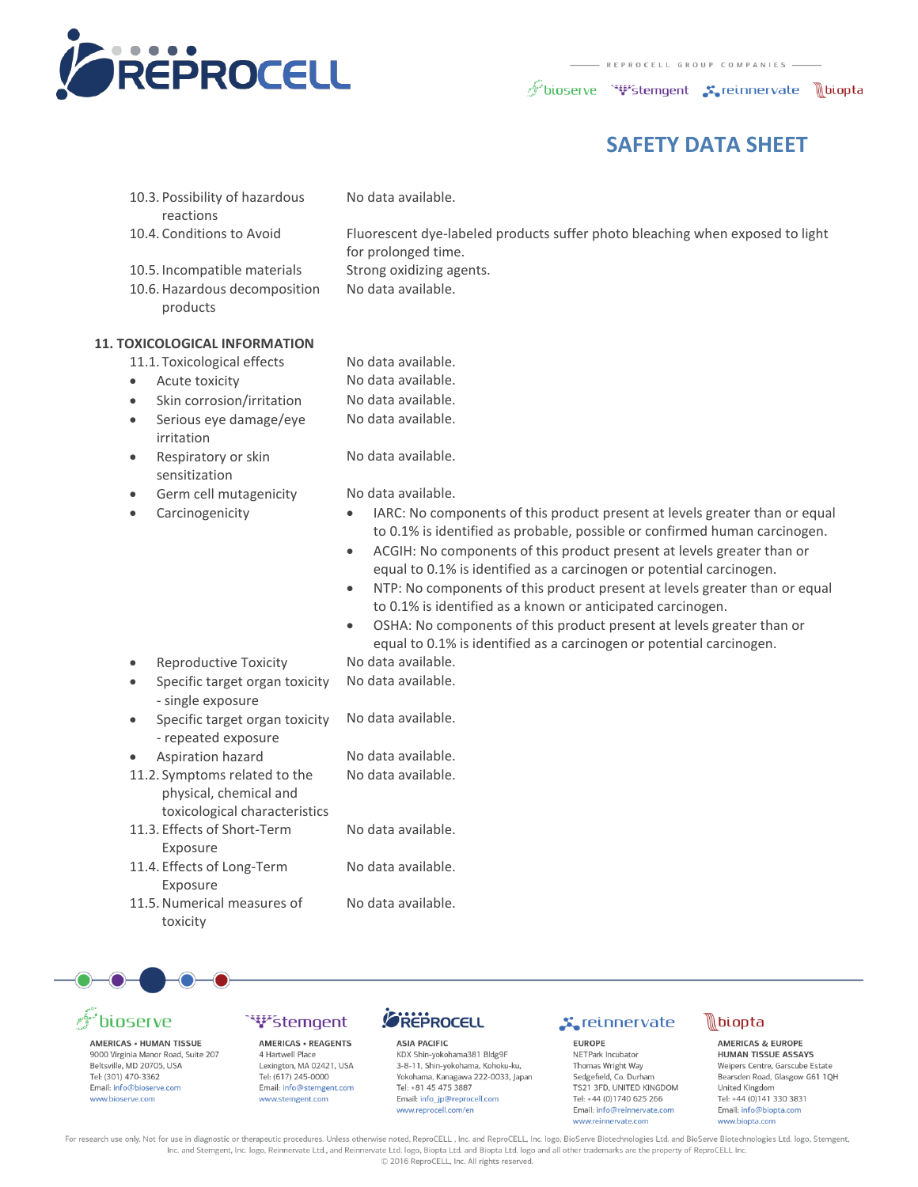

bioserve "\"stemgent sereinnervate \biopta

### **SAFETY DATA SHEET**

10.3. Possibility of hazardous reactions

No data available.

10.4. Conditions to Avoid Fluorescent dye-labeled products suffer photo bleaching when exposed to light

No data available.

- for prolonged time.
- 10.5. Incompatible materials Strong oxidizing agents.
- 10.6.Hazardous decomposition
- products

#### **11. TOXICOLOGICAL INFORMATION**

- 11.1. Toxicological effects No data available.
- Acute toxicity Mo data available.
- Skin corrosion/irritation No data available.
- Serious eye damage/eye irritation
- Respiratory or skin sensitization
- Germ cell mutagenicity No data available.
- 
- 
- 
- No data available.
- No data available.

- Carcinogenicity **•** IARC: No components of this product present at levels greater than or equal to 0.1% is identified as probable, possible or confirmed human carcinogen.
	- ACGIH: No components of this product present at levels greater than or equal to 0.1% is identified as a carcinogen or potential carcinogen.
	- NTP: No components of this product present at levels greater than or equal to 0.1% is identified as a known or anticipated carcinogen.
	- OSHA: No components of this product present at levels greater than or equal to 0.1% is identified as a carcinogen or potential carcinogen.
- Reproductive Toxicity No data available.
- Specific target organ toxicity - single exposure
- Specific target organ toxicity - repeated exposure
- Aspiration hazard No data available.
- 11.2. Symptoms related to the physical, chemical and toxicological characteristics
- 11.3. Effects of Short-Term Exposure
- 11.4. Effects of Long-Term Exposure
- 11.5.Numerical measures of toxicity

No data available.

No data available.

- No data available.
- No data available.
- No data available.

No data available.

# ioserve

AMERICAS . HUMAN TISSUE 9000 Virginia Manor Road, Suite 207 Beltsville, MD 20705, USA Tel: (301) 470-3362 Email: info@bioserve.com www.bioserve.com

# `<del>`V's</del>temoent

AMERICAS . REAGENTS 4 Hartwell Place Lexington, MA 02421, USA Tel: (617) 245-0000 Email: info@stemgent.com www.stemgent.com

### **SREPROCELL**

**ASIA PACIFIC** KDX Shin-yokohama381 Bldg9F 3-8-11, Shin-yokohama, Kohoku-ku, Yokohama, Kanagawa 222-0033, Japan Tel: +81 45 475 3887 Email: info jp@reprocell.com www.reprocell.com/en

### **X**reinnervate

**EUROPE** NETPark Incubator Thomas Wright Way Sedgefield, Co. Durham TS21 3FD, UNITED KINGDOM Tel: +44 (0)1740 625 266 Email: info@reinnervate.com www.reinnervate.com



**AMERICAS & EUROPE** HUMAN TISSUE ASSAYS Weipers Centre, Garscube Estate Bearsden Road, Glasgow G61 1QH United Kingdom Tel: +44 (0)141 330 3831 Email: info@bionta.com www.biopta.com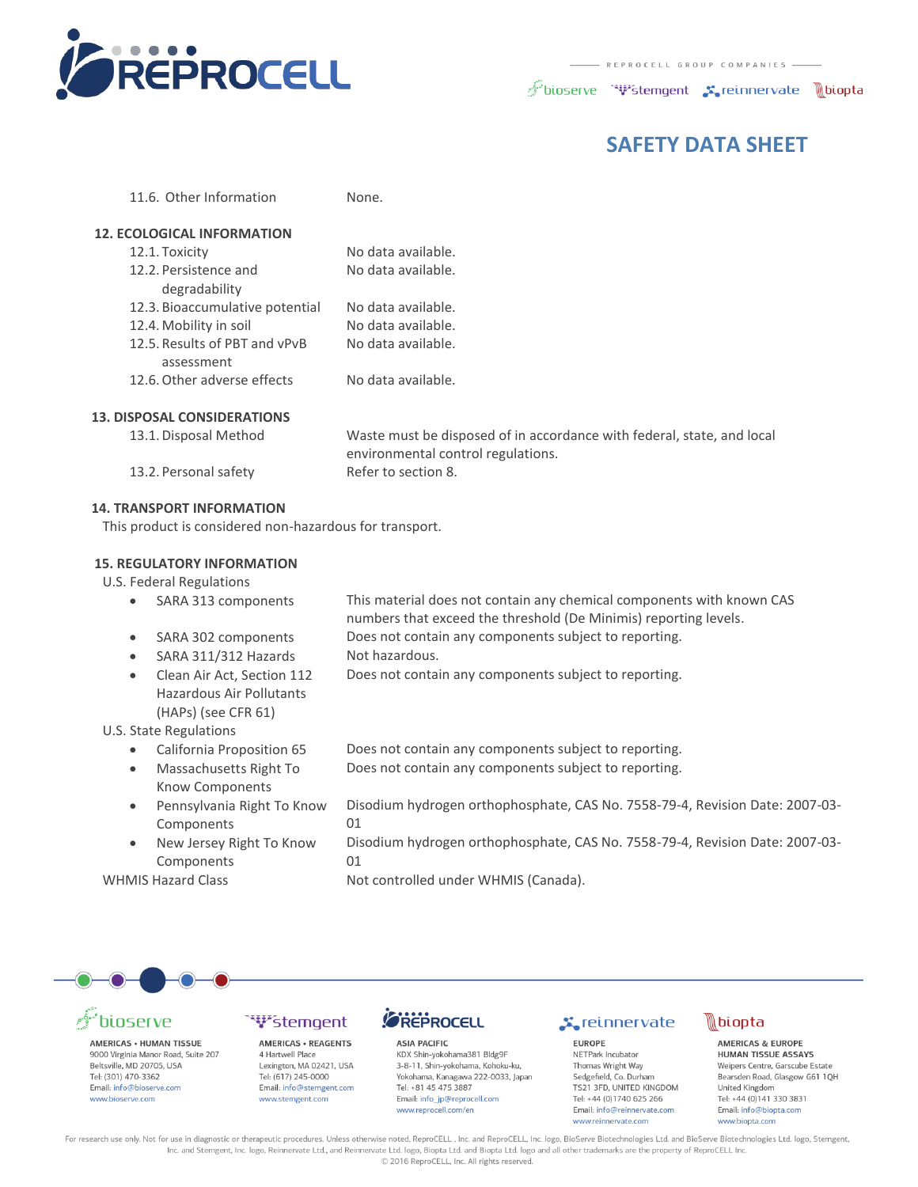

 $\mathscr{F}$ bioserve " $\mathbf{\Psi}$ stemgent  $\mathbf{x}_\bullet$ reinnervate  $\mathbb{R}$ biopta

### **SAFETY DATA SHEET**

| <b>12. ECOLOGICAL INFORMATION</b> |                    |
|-----------------------------------|--------------------|
| 12.1. Toxicity                    | No data available. |
| 12.2. Persistence and             | No data available. |
| degradability                     |                    |
| 12.3. Bioaccumulative potential   | No data available. |
| 12.4. Mobility in soil            | No data available. |
| 12.5. Results of PBT and vPvB     | No data available. |
| assessment                        |                    |
| 12.6. Other adverse effects       | No data available. |
|                                   |                    |

11.6. Other Information None.

#### **13. DISPOSAL CONSIDERATIONS**

| ur UJAL CUNJIDLIVATION J |                                                                        |
|--------------------------|------------------------------------------------------------------------|
| 13.1. Disposal Method    | Waste must be disposed of in accordance with federal, state, and local |
|                          | environmental control regulations.                                     |
| 13.2. Personal safety    | Refer to section 8.                                                    |
|                          |                                                                        |

#### **14. TRANSPORT INFORMATION**

This product is considered non-hazardous for transport.

#### **15. REGULATORY INFORMATION**

U.S. Federal Regulations

- SARA 313 components This material does not contain any chemical components with known CAS numbers that exceed the threshold (De Minimis) reporting levels.
- SARA 302 components Does not contain any components subject to reporting.
- SARA 311/312 Hazards Not hazardous.
- Clean Air Act, Section 112 Does not contain any components subject to reporting.
- (HAPs) (see CFR 61) U.S. State Regulations
	- California Proposition 65
	- Massachusetts Right To
	- Know Components Pennsylvania Right To Know

Hazardous Air Pollutants

- Components
- New Jersey Right To Know Components

| Does not contain any components subject to reporting. |  |
|-------------------------------------------------------|--|
| Does not contain any components subject to reporting. |  |

- Disodium hydrogen orthophosphate, CAS No. 7558-79-4, Revision Date: 2007-03- 01
- Disodium hydrogen orthophosphate, CAS No. 7558-79-4, Revision Date: 2007-03- 01

WHMIS Hazard Class Not controlled under WHMIS (Canada).



# **pioserve**

AMERICAS . HUMAN TISSUE 9000 Virginia Manor Road, Suite 207 Beltsville, MD 20705, USA Tel: (301) 470-3362 Email: info@bioserve.com www.bioserve.com

#### **W**stemgent **AMERICAS · REAGENTS**

4 Hartwell Place Lexington, MA 02421, USA Tel: (617) 245-0000 Email: info@stemgent.com www.stemgent.com

### FREPROCELL

**ASIA PACIFIC** KDX Shin-yokohama381 Bldg9F 3-8-11, Shin-yokohama, Kohoku-ku, Yokohama, Kanagawa 222-0033, Japan Tel: +81 45 475 3887 Email: info\_jp@reprocell.com www.reprocell.com/en

### **X**reinnervate

**EUROPE** NETPark Incubator Thomas Wright Way Sedgefield, Co. Durham TS21 3FD, UNITED KINGDOM Tel: +44 (0)1740 625 266 Email: info@reinnervate.com www.reinnervate.com



**AMERICAS & EUROPE** HUMAN TISSUE ASSAYS Weipers Centre, Garscube Estate Bearsden Road, Glasgow G61 1QH United Kingdom Tel: +44 (0)141 330 3831 Email: info@bionta.com www.biopta.com